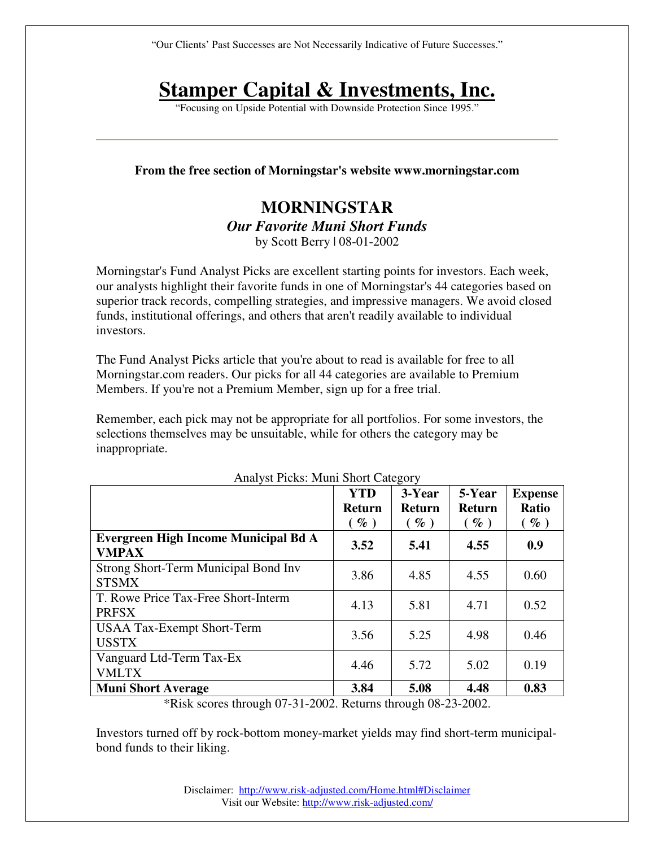"Our Clients' Past Successes are Not Necessarily Indicative of Future Successes."

# **Stamper Capital & Investments, Inc.**

"Focusing on Upside Potential with Downside Protection Since 1995."

### **From the free section of Morningstar's website www.morningstar.com**

# **MORNINGSTAR**  *Our Favorite Muni Short Funds*  by Scott Berry | 08-01-2002

Morningstar's Fund Analyst Picks are excellent starting points for investors. Each week, our analysts highlight their favorite funds in one of Morningstar's 44 categories based on superior track records, compelling strategies, and impressive managers. We avoid closed funds, institutional offerings, and others that aren't readily available to individual investors.

The Fund Analyst Picks article that you're about to read is available for free to all Morningstar.com readers. Our picks for all 44 categories are available to Premium Members. If you're not a Premium Member, sign up for a free trial.

Remember, each pick may not be appropriate for all portfolios. For some investors, the selections themselves may be unsuitable, while for others the category may be inappropriate.

|                                                                                             | <b>YTD</b><br>Return<br>$(\%)$ | 3-Year<br><b>Return</b><br>$(\%)$ | 5-Year<br><b>Return</b><br>$(\%)$ | <b>Expense</b><br>Ratio<br>$(\%)$ |
|---------------------------------------------------------------------------------------------|--------------------------------|-----------------------------------|-----------------------------------|-----------------------------------|
| Evergreen High Income Municipal Bd A<br><b>VMPAX</b>                                        | 3.52                           | 5.41                              | 4.55                              | 0.9                               |
| Strong Short-Term Municipal Bond Inv<br><b>STSMX</b>                                        | 3.86                           | 4.85                              | 4.55                              | 0.60                              |
| T. Rowe Price Tax-Free Short-Interm<br><b>PRFSX</b>                                         | 4.13                           | 5.81                              | 4.71                              | 0.52                              |
| <b>USAA Tax-Exempt Short-Term</b><br><b>USSTX</b>                                           | 3.56                           | 5.25                              | 4.98                              | 0.46                              |
| Vanguard Ltd-Term Tax-Ex<br><b>VMLTX</b>                                                    | 4.46                           | 5.72                              | 5.02                              | 0.19                              |
| <b>Muni Short Average</b><br>$*Dist1$ sector through 07.21.2002. Deturns through 08.22.2002 | 3.84                           | 5.08                              | 4.48                              | 0.83                              |

Analyst Picks: Muni Short Category

 $k$  Risk scores through 07-31-2002. Returns through 08-23-2002.

Investors turned off by rock-bottom money-market yields may find short-term municipalbond funds to their liking.

> Disclaimer: http://www.risk-adjusted.com/Home.html#Disclaimer Visit our Website: http://www.risk-adjusted.com/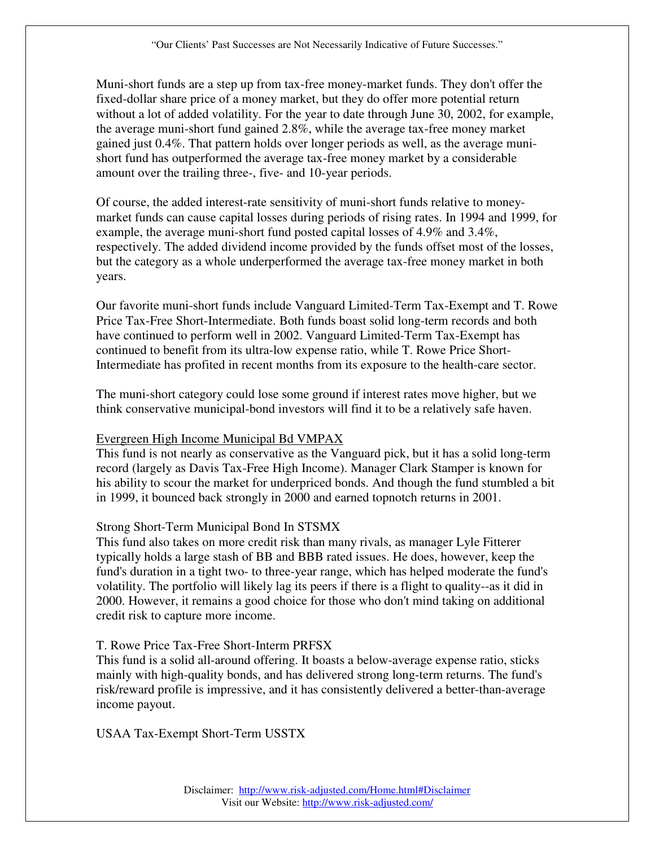Muni-short funds are a step up from tax-free money-market funds. They don't offer the fixed-dollar share price of a money market, but they do offer more potential return without a lot of added volatility. For the year to date through June 30, 2002, for example, the average muni-short fund gained 2.8%, while the average tax-free money market gained just 0.4%. That pattern holds over longer periods as well, as the average munishort fund has outperformed the average tax-free money market by a considerable amount over the trailing three-, five- and 10-year periods.

Of course, the added interest-rate sensitivity of muni-short funds relative to moneymarket funds can cause capital losses during periods of rising rates. In 1994 and 1999, for example, the average muni-short fund posted capital losses of 4.9% and 3.4%, respectively. The added dividend income provided by the funds offset most of the losses, but the category as a whole underperformed the average tax-free money market in both years.

Our favorite muni-short funds include Vanguard Limited-Term Tax-Exempt and T. Rowe Price Tax-Free Short-Intermediate. Both funds boast solid long-term records and both have continued to perform well in 2002. Vanguard Limited-Term Tax-Exempt has continued to benefit from its ultra-low expense ratio, while T. Rowe Price Short-Intermediate has profited in recent months from its exposure to the health-care sector.

The muni-short category could lose some ground if interest rates move higher, but we think conservative municipal-bond investors will find it to be a relatively safe haven.

## Evergreen High Income Municipal Bd VMPAX

This fund is not nearly as conservative as the Vanguard pick, but it has a solid long-term record (largely as Davis Tax-Free High Income). Manager Clark Stamper is known for his ability to scour the market for underpriced bonds. And though the fund stumbled a bit in 1999, it bounced back strongly in 2000 and earned topnotch returns in 2001.

#### Strong Short-Term Municipal Bond In STSMX

This fund also takes on more credit risk than many rivals, as manager Lyle Fitterer typically holds a large stash of BB and BBB rated issues. He does, however, keep the fund's duration in a tight two- to three-year range, which has helped moderate the fund's volatility. The portfolio will likely lag its peers if there is a flight to quality--as it did in 2000. However, it remains a good choice for those who don't mind taking on additional credit risk to capture more income.

#### T. Rowe Price Tax-Free Short-Interm PRFSX

This fund is a solid all-around offering. It boasts a below-average expense ratio, sticks mainly with high-quality bonds, and has delivered strong long-term returns. The fund's risk/reward profile is impressive, and it has consistently delivered a better-than-average income payout.

USAA Tax-Exempt Short-Term USSTX